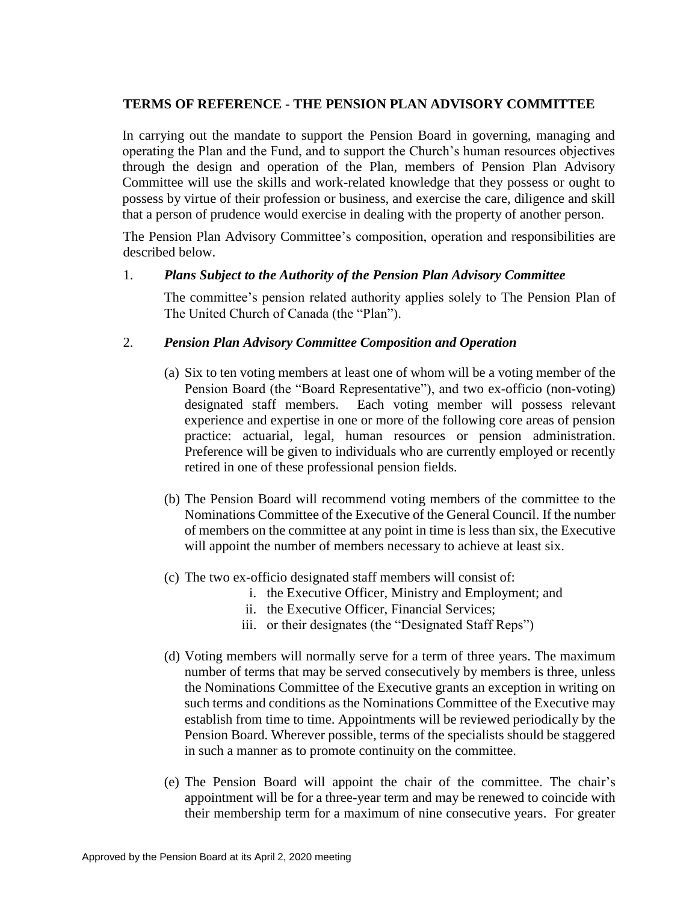# **TERMS OF REFERENCE - THE PENSION PLAN ADVISORY COMMITTEE**

In carrying out the mandate to support the Pension Board in governing, managing and operating the Plan and the Fund, and to support the Church's human resources objectives through the design and operation of the Plan, members of Pension Plan Advisory Committee will use the skills and work-related knowledge that they possess or ought to possess by virtue of their profession or business, and exercise the care, diligence and skill that a person of prudence would exercise in dealing with the property of another person.

The Pension Plan Advisory Committee's composition, operation and responsibilities are described below.

## 1. *Plans Subject to the Authority of the Pension Plan Advisory Committee*

The committee's pension related authority applies solely to The Pension Plan of The United Church of Canada (the "Plan").

# 2. *Pension Plan Advisory Committee Composition and Operation*

- (a) Six to ten voting members at least one of whom will be a voting member of the Pension Board (the "Board Representative"), and two ex-officio (non-voting) designated staff members. Each voting member will possess relevant experience and expertise in one or more of the following core areas of pension practice: actuarial, legal, human resources or pension administration. Preference will be given to individuals who are currently employed or recently retired in one of these professional pension fields.
- (b) The Pension Board will recommend voting members of the committee to the Nominations Committee of the Executive of the General Council. If the number of members on the committee at any point in time is less than six, the Executive will appoint the number of members necessary to achieve at least six.
- (c) The two ex-officio designated staff members will consist of:
	- i. the Executive Officer, Ministry and Employment; and
	- ii. the Executive Officer, Financial Services;
	- iii. or their designates (the "Designated Staff Reps")
- (d) Voting members will normally serve for a term of three years. The maximum number of terms that may be served consecutively by members is three, unless the Nominations Committee of the Executive grants an exception in writing on such terms and conditions as the Nominations Committee of the Executive may establish from time to time. Appointments will be reviewed periodically by the Pension Board. Wherever possible, terms of the specialists should be staggered in such a manner as to promote continuity on the committee.
- (e) The Pension Board will appoint the chair of the committee. The chair's appointment will be for a three-year term and may be renewed to coincide with their membership term for a maximum of nine consecutive years. For greater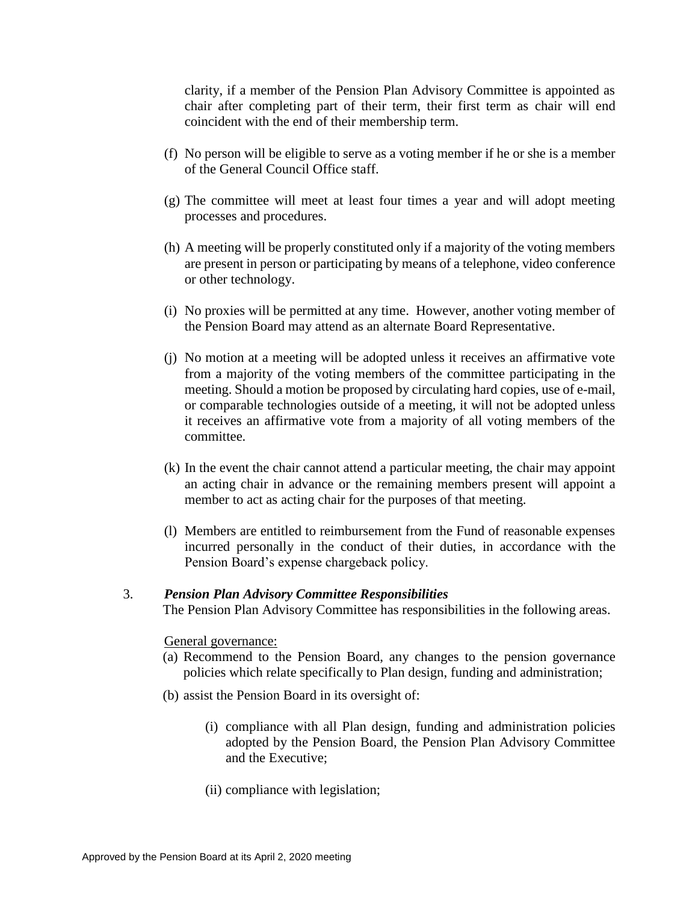clarity, if a member of the Pension Plan Advisory Committee is appointed as chair after completing part of their term, their first term as chair will end coincident with the end of their membership term.

- (f) No person will be eligible to serve as a voting member if he or she is a member of the General Council Office staff.
- (g) The committee will meet at least four times a year and will adopt meeting processes and procedures.
- (h) A meeting will be properly constituted only if a majority of the voting members are present in person or participating by means of a telephone, video conference or other technology.
- (i) No proxies will be permitted at any time. However, another voting member of the Pension Board may attend as an alternate Board Representative.
- (j) No motion at a meeting will be adopted unless it receives an affirmative vote from a majority of the voting members of the committee participating in the meeting. Should a motion be proposed by circulating hard copies, use of e-mail, or comparable technologies outside of a meeting, it will not be adopted unless it receives an affirmative vote from a majority of all voting members of the committee.
- (k) In the event the chair cannot attend a particular meeting, the chair may appoint an acting chair in advance or the remaining members present will appoint a member to act as acting chair for the purposes of that meeting.
- (l) Members are entitled to reimbursement from the Fund of reasonable expenses incurred personally in the conduct of their duties, in accordance with the Pension Board's expense chargeback policy.

## 3. *Pension Plan Advisory Committee Responsibilities*

The Pension Plan Advisory Committee has responsibilities in the following areas.

### General governance:

- (a) Recommend to the Pension Board, any changes to the pension governance policies which relate specifically to Plan design, funding and administration;
- (b) assist the Pension Board in its oversight of:
	- (i) compliance with all Plan design, funding and administration policies adopted by the Pension Board, the Pension Plan Advisory Committee and the Executive;
	- (ii) compliance with legislation;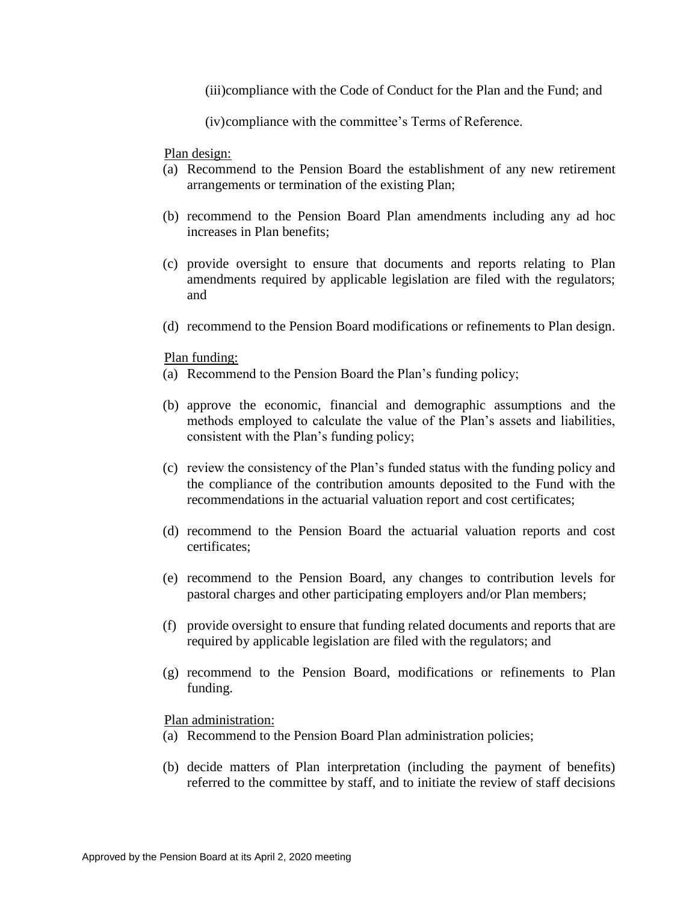(iii)compliance with the Code of Conduct for the Plan and the Fund; and

(iv)compliance with the committee's Terms of Reference.

Plan design:

- (a) Recommend to the Pension Board the establishment of any new retirement arrangements or termination of the existing Plan;
- (b) recommend to the Pension Board Plan amendments including any ad hoc increases in Plan benefits;
- (c) provide oversight to ensure that documents and reports relating to Plan amendments required by applicable legislation are filed with the regulators; and
- (d) recommend to the Pension Board modifications or refinements to Plan design.

#### Plan funding:

- (a) Recommend to the Pension Board the Plan's funding policy;
- (b) approve the economic, financial and demographic assumptions and the methods employed to calculate the value of the Plan's assets and liabilities, consistent with the Plan's funding policy;
- (c) review the consistency of the Plan's funded status with the funding policy and the compliance of the contribution amounts deposited to the Fund with the recommendations in the actuarial valuation report and cost certificates;
- (d) recommend to the Pension Board the actuarial valuation reports and cost certificates;
- (e) recommend to the Pension Board, any changes to contribution levels for pastoral charges and other participating employers and/or Plan members;
- (f) provide oversight to ensure that funding related documents and reports that are required by applicable legislation are filed with the regulators; and
- (g) recommend to the Pension Board, modifications or refinements to Plan funding.

Plan administration:

- (a) Recommend to the Pension Board Plan administration policies;
- (b) decide matters of Plan interpretation (including the payment of benefits) referred to the committee by staff, and to initiate the review of staff decisions